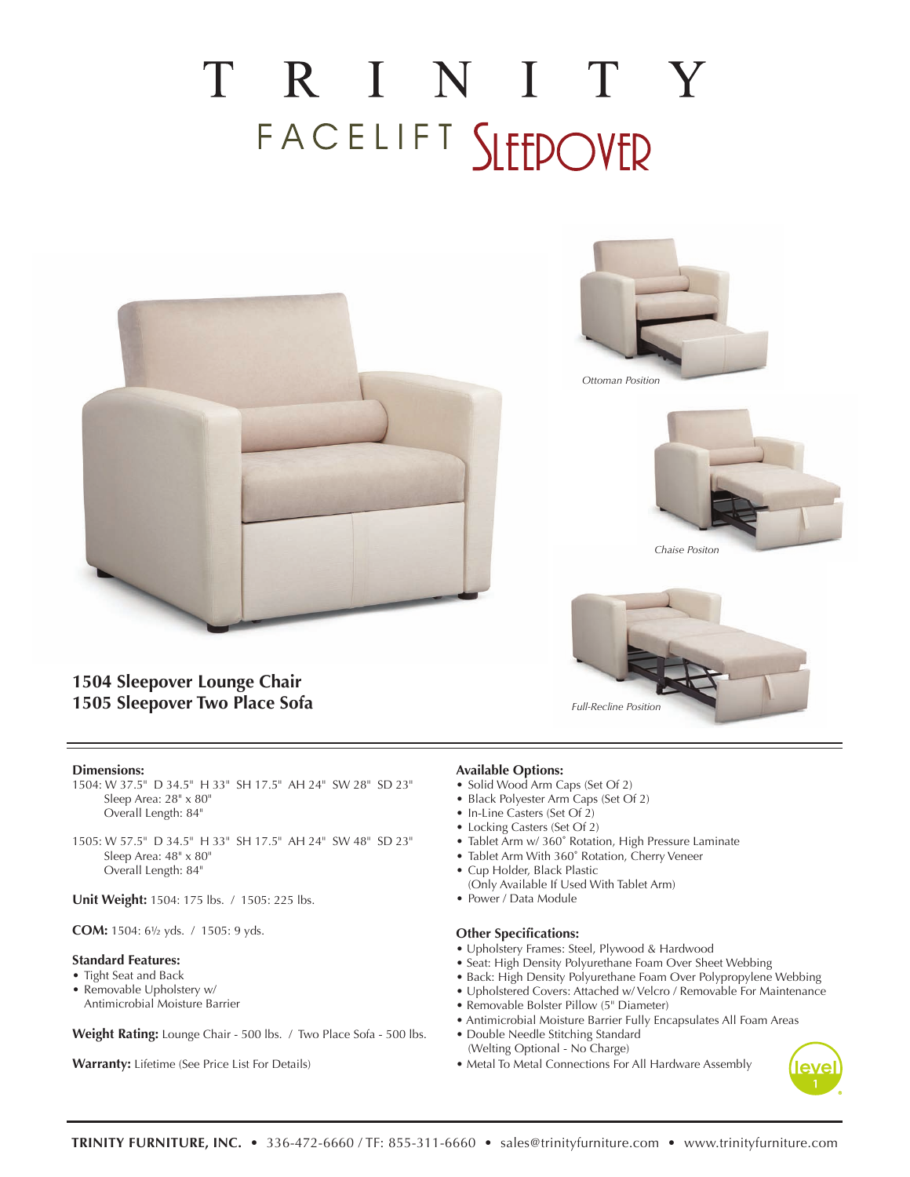# TRINITY FACELIFT SLEEPOVER





*Ottoman Position*



*Chaise Positon*



### **1504 Sleepover Lounge Chair 1505 Sleepover Two Place Sofa**

#### **Dimensions:**

- 1504: W 37.5" D 34.5" H 33" SH 17.5" AH 24" SW 28" SD 23" Sleep Area: 28" x 80" Overall Length: 84"
- 1505: W 57.5" D 34.5" H 33" SH 17.5" AH 24" SW 48" SD 23" Sleep Area: 48" x 80" Overall Length: 84"

**Unit Weight:** 1504: 175 lbs. / 1505: 225 lbs.

**COM:** 1504: 6½ yds. / 1505: 9 yds.

#### **Standard Features:**

- Tight Seat and Back
- Removable Upholstery w/
- Antimicrobial Moisture Barrier

**Weight Rating:** Lounge Chair - 500 lbs. / Two Place Sofa - 500 lbs.

**Warranty:** Lifetime (See Price List For Details)

#### **Available Options:**

- Solid Wood Arm Caps (Set Of 2)
- Black Polyester Arm Caps (Set Of 2)
- In-Line Casters (Set Of 2)
- Locking Casters (Set Of 2)
- Tablet Arm w/ 360˚ Rotation, High Pressure Laminate
- Tablet Arm With 360˚ Rotation, Cherry Veneer
- Cup Holder, Black Plastic
- (Only Available If Used With Tablet Arm)
- Power / Data Module

#### **Other Specifications:**

- Upholstery Frames: Steel, Plywood & Hardwood
- Seat: High Density Polyurethane Foam Over Sheet Webbing
- Back: High Density Polyurethane Foam Over Polypropylene Webbing
- Upholstered Covers: Attached w/ Velcro / Removable For Maintenance
- Removable Bolster Pillow (5" Diameter)
- Antimicrobial Moisture Barrier Fully Encapsulates All Foam Areas
- Double Needle Stitching Standard (Welting Optional - No Charge)
- Metal To Metal Connections For All Hardware Assembly